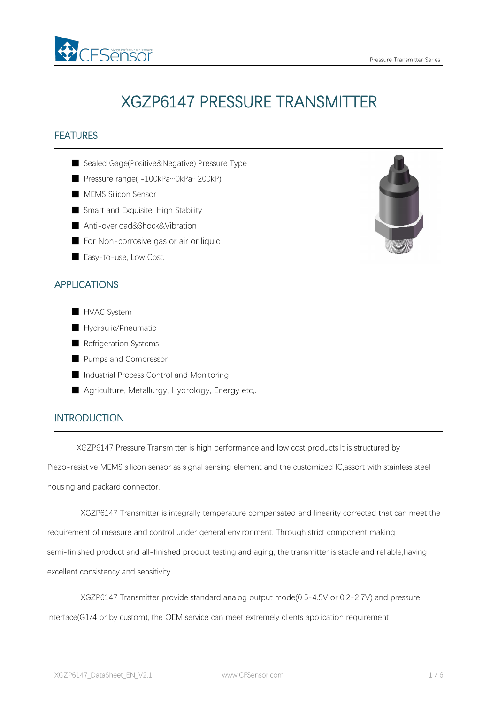

# XGZP6147 PRESSURE TRANSMITTER

# FEATURES

- Sealed Gage(Positive&Negative) Pressure Type
- Pressure range( -100kPa…0kPa…200kP)
- MEMS Silicon Sensor
- Smart and Exquisite, High Stability
- Anti-overload&Shock&Vibration
- For Non-corrosive gas or air or liquid
- Easy-to-use, Low Cost.

# APPLICATIONS

- HVAC System
- Hydraulic/Pneumatic
- Refrigeration Systems
- Pumps and Compressor
- Industrial Process Control and Monitoring
- Agriculture, Metallurgy, Hydrology, Energy etc,.

# **INTRODUCTION**

XGZP6147 Pressure Transmitter is high performance and low cost products.It is structured by

Piezo-resistive MEMS silicon sensor as signal sensing element and the customized IC,assort with stainless steel housing and packard connector.

XGZP6147 Transmitter is integrally temperature compensated and linearity corrected that can meet the requirement of measure and control under general environment. Through strict component making, semi-finished product and all-finished product testing and aging, the transmitter is stable and reliable,having excellent consistency and sensitivity.

XGZP6147 Transmitter provide standard analog output mode(0.5-4.5V or 0.2-2.7V) and pressure

interface(G1/4 or by custom), the OEM service can meet extremely clients application requirement.

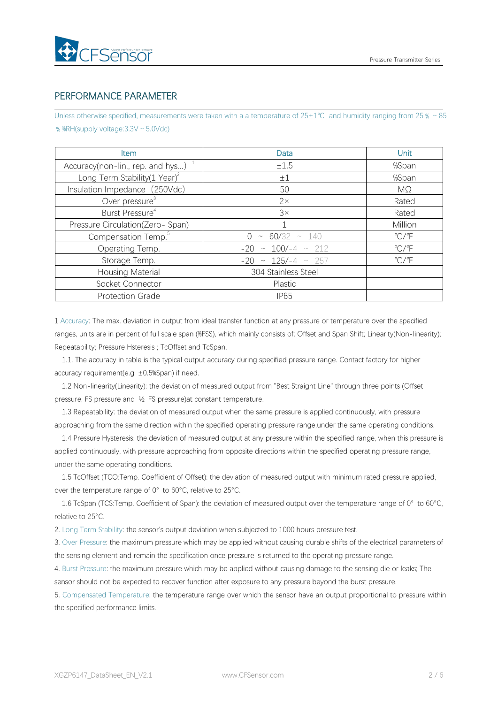# PERFORMANCE PARAMETER

Unless otherwise specified, measurements were taken with a a temperature of 25±1℃ and humidity ranging from 25 % ~85 ﹪%RH(supply voltage:3.3V~5.0Vdc)

| <b>Item</b>                              | Data                       | <b>Unit</b>             |
|------------------------------------------|----------------------------|-------------------------|
| Accuracy(non-lin., rep. and hys) $1$     | ±1.5                       | %Span                   |
| Long Term Stability(1 Year) <sup>2</sup> | $\pm 1$                    | %Span                   |
| Insulation Impedance (250Vdc)            | 50                         | $M\Omega$               |
| Over pressure <sup>3</sup>               | $2\times$                  | Rated                   |
| Burst Pressure <sup>4</sup>              | 3x                         | Rated                   |
| Pressure Circulation(Zero-Span)          |                            | Million                 |
| Compensation Temp. <sup>5</sup>          | $0 \sim 60/32 \sim 140$    | $\mathrm{C}/\mathrm{F}$ |
| Operating Temp.                          | $-20 \sim 100/-4 \sim 212$ | $\mathrm{C}/\mathrm{F}$ |
| Storage Temp.                            | $-20 \sim 125/-4 \sim 257$ | $\mathrm{C}/\mathrm{F}$ |
| <b>Housing Material</b>                  | 304 Stainless Steel        |                         |
| Socket Connector                         | Plastic                    |                         |
| <b>Protection Grade</b>                  | <b>IP65</b>                |                         |

1 Accuracy: The max. deviation in output from ideal transfer function at any pressure or temperature over the specified ranges, units are in percent of full scale span (%FSS), which mainly consists of: Offset and Span Shift; Linearity(Non-linearity); Repeatability; Pressure Hsteresis ; TcOffset and TcSpan.

1.1. The accuracy in table is the typical output accuracy during specified pressure range. Contact factory for higher accuracy requirement(e.g  $\pm 0.5$ %Span) if need.

1.2 Non-linearity(Linearity): the deviation of measured output from "Best Straight Line" through three points (Offset pressure, FS pressure and ½ FS pressure)at constant temperature.

1.3 Repeatability: the deviation of measured output when the same pressure is applied continuously, with pressure approaching from the same direction within the specified operating pressure range,under the same operating conditions.

1.4 Pressure Hysteresis: the deviation of measured output at any pressure within the specified range, when this pressure is applied continuously, with pressure approaching from opposite directions within the specified operating pressure range, under the same operating conditions.

1.5 TcOffset (TCO:Temp. Coefficient of Offset): the deviation of measured output with minimum rated pressure applied, over the temperature range of 0°to 60°C, relative to 25°C.

1.6 TcSpan (TCS:Temp. Coefficient of Span): the deviation of measured output over the temperature range of 0° to 60°C, relative to 25°C.

2. Long Term Stability: the sensor's output deviation when subjected to 1000 hours pressure test.

3. Over Pressure: the maximum pressure which may be applied without causing durable shifts of the electrical parameters of the sensing element and remain the specification once pressure is returned to the operating pressure range.

4. Burst Pressure: the maximum pressure which may be applied without causing damage to the sensing die or leaks; The sensor should not be expected to recover function after exposure to any pressure beyond the burst pressure.

5. Compensated Temperature: the temperature range over which the sensor have an output proportional to pressure within the specified performance limits.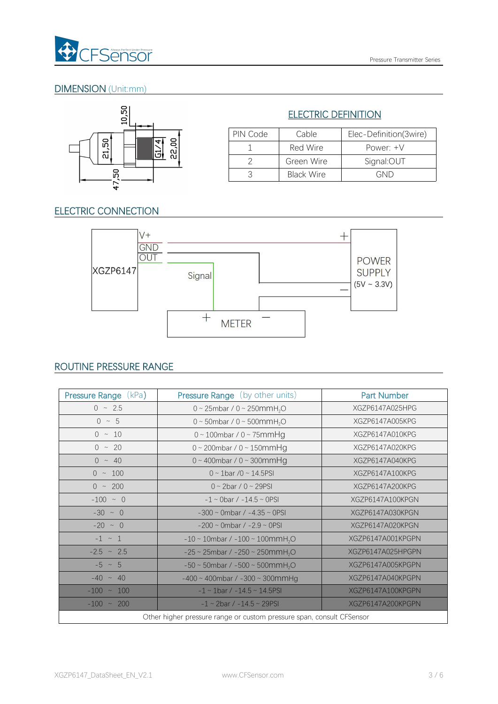

# DIMENSION (Unit:mm)



# ELECTRIC DEFINITION

| PIN Code | Cable      | Elec-Definition(3wire) |
|----------|------------|------------------------|
|          | Red Wire   | Power: $+V$            |
|          | Green Wire | Signal:OUT             |
|          | Black Wire | GND                    |

# ELECTRIC CONNECTION



# ROUTINE PRESSURE RANGE

| Pressure Range (kPa) | <b>Pressure Range</b> (by other units)                                | <b>Part Number</b> |
|----------------------|-----------------------------------------------------------------------|--------------------|
| $0 \sim 2.5$         | 0 ~ 25mbar / 0 ~ 250mmH <sub>2</sub> O                                | XGZP6147A025HPG    |
| $0 \sim 5$           | 0 ~ 50mbar / 0 ~ 500mmH <sub>2</sub> O                                | XGZP6147A005KPG    |
| $0 \sim 10$          | $0 \sim 100$ mbar / $0 \sim 75$ mmHg                                  | XGZP6147A010KPG    |
| $0 \sim 20$          | $0 \sim 200$ mbar / $0 \sim 150$ mm $Hg$                              | XGZP6147A020KPG    |
| $0 \sim 40$          | $0 \sim 400$ mbar / $0 \sim 300$ mmHg                                 | XGZP6147A040KPG    |
| $0 \sim 100$         | $0 \sim 1$ bar /0 ~ 14.5PSI                                           | XGZP6147A100KPG    |
| $0 \sim 200$         | $0 \sim 2$ bar / $0 \sim 29$ PSI                                      | XGZP6147A200KPG    |
| $-100 ~ \sim ~ 0$    | $-1 \sim$ 0bar / $-14.5 \sim$ 0PSI                                    | XGZP6147A100KPGN   |
| $-30 \sim 0$         | $-300 \sim$ 0mbar / $-4.35 \sim$ 0PSI                                 | XGZP6147A030KPGN   |
| $-20 \sim 0$         | $-200 \sim$ 0mbar / $-2.9 \sim$ 0PSI                                  | XGZP6147A020KPGN   |
| $-1 \sim 1$          | $-10 \sim 10$ mbar / $-100 \sim 100$ mmH <sub>2</sub> O               | XGZP6147A001KPGPN  |
| $-2.5 \sim 2.5$      | $-25 \sim 25$ mbar / $-250 \sim 250$ mmH <sub>2</sub> O               | XGZP6147A025HPGPN  |
| $-5 \sim 5$          | $-50 \sim 50$ mbar / $-500 \sim 500$ mmH <sub>2</sub> O               | XGZP6147A005KPGPN  |
| $-40 \sim 40$        | $-400 \sim 400$ mbar / $-300 \sim 300$ mmHg                           | XGZP6147A040KPGPN  |
| $-100 - 100$         | $-1 \sim 1$ bar / $-14.5 \sim 14.5$ PSI                               | XGZP6147A100KPGPN  |
| $-100 \sim 200$      | $-1 \sim 2$ bar / $-14.5 \sim 29$ PSI                                 | XGZP6147A200KPGPN  |
|                      | Other higher pressure range or custom pressure span, consult CFSensor |                    |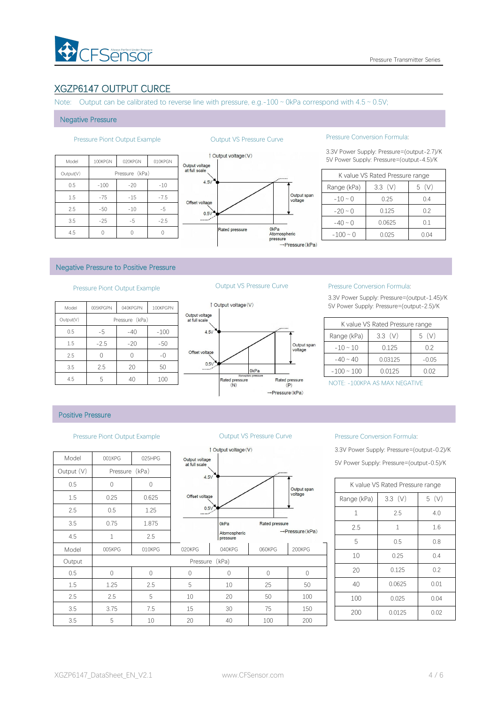# XGZP6147 OUTPUT CURCE

Note: Output can be calibrated to reverse line with pressure, e.g.-100  $\sim$  0kPa correspond with 4.5  $\sim$  0.5V;

### Negative Pressure

|           |         |                |         |                | $\uparrow$ Output voltage (V) |
|-----------|---------|----------------|---------|----------------|-------------------------------|
| Model     | 100KPGN | 020KPGN        | 010KPGN | Output voltage |                               |
| Output(V) |         | Pressure (kPa) |         | at full scale  |                               |
| 0.5       | $-100$  | $-20$          | $-10$   | 4.5V           |                               |
| 1.5       | $-75$   | $-15$          | $-7.5$  | Offset voltage |                               |
| 2.5       | $-50$   | $-10$          | $-5$    | 0.5V           |                               |
| 3.5       | $-25$   | $-5$           | $-2.5$  | $\ldots$       |                               |
| 4.5       |         | $\Omega$       | 0       |                | <b>Rated pressure</b>         |



### Pressure Piont Output Example **Output VS Pressure Curve** Pressure Conversion Formula:

3.3V Power Supply: Pressure=(output-2.7)/K

|               | K value VS Rated Pressure range |          |
|---------------|---------------------------------|----------|
| Range (kPa)   | $3.3$ (V)                       | (V)<br>5 |
| $-10 \sim 0$  | 0.25                            | 0.4      |
| $-20 \sim 0$  | 0.125                           | 0.2      |
| $-40 \sim 0$  | 0.0625                          | 0.1      |
| $-100 \sim 0$ | 0.025                           | 0.04     |

### Negative Pressure to Positive Pressure

## Pressure Piont Output Example **Culture Curve** Pressure Curve Pressure Conversion Formula:

| 1 Output vo     |                                 | 100KPGPN | 040KPGPN       | 005KPGPN | Model     |
|-----------------|---------------------------------|----------|----------------|----------|-----------|
|                 | Output voltage<br>at full scale |          | Pressure (kPa) |          | Output(V) |
|                 | 4.5V                            | $-100$   | $-40$          | -5       | 0.5       |
|                 |                                 | $-50$    | $-20$          | $-2.5$   | 1.5       |
|                 | Offset voltage                  | -0       |                |          | 2.5       |
|                 | 0.5V                            | 50       | 20             | 2.5      | 3.5       |
| Rated pr<br>(A) |                                 | 100      | 40             | 5        | 4.5       |



3.3V Power Supply: Pressure=(output-1.45)/K 5V Power Supply: Pressure=(output-2.5)/K

|                 | K value VS Rated Pressure range |          |
|-----------------|---------------------------------|----------|
| Range (kPa)     | 3.3(V)                          | (V)<br>5 |
| $-10 \sim 10$   | 0.125                           | 0.2      |
| $-40 \sim 40$   | 0.03125                         | $-0.05$  |
| $-100 \sim 100$ | 0.0125                          | 0.02     |

NOTE: -100KPA AS MAX NEGATIVE

### Positive Pressure

### Pressure Piont Output Example **Curve Curve Curve** Pressure Conversion Formula:

|            |                |        |                                 | 1 Output voltage (V)     |       |
|------------|----------------|--------|---------------------------------|--------------------------|-------|
| Model      | 001KPG         | 025HPG | Output voltage<br>at full scale |                          |       |
| Output (V) | Pressure (kPa) |        | 4.5V                            |                          |       |
| 0.5        | 0              | 0      |                                 |                          |       |
| 1.5        | 0.25           | 0.625  | Offset voltage                  |                          |       |
| 2.5        | 0.5            | 1.25   | 0.5V                            |                          |       |
| 3.5        | 0.75           | 1.875  |                                 | 0 <sub>kPa</sub>         | Rated |
| 4.5        | $\mathbf{1}$   | 2.5    |                                 | Atomospheric<br>pressure |       |
| Model      | 005KPG         | 010KPG | 020KPG                          | 040KPG                   | 060KI |
| Output     |                |        |                                 | Pressure (kPa)           |       |
| 0.5        | $\mathbf 0$    | 0      | $\Omega$                        | 0                        | 0     |
| 1.5        | 1.25           | 2.5    | 5                               | 10                       | 25    |
| 2.5        | 2.5            | 5      | 10                              | 20                       | 50    |
| 3.5        | 3.75           | 7.5    | 15                              | 30                       | 75    |
| 3.5        | 5              | 10     | 20                              | 40                       | 100   |



3.3V Power Supply: Pressure=(output-0.2)/K 5V Power Supply: Pressure=(output-0.5)/K

|              | K value VS Rated Pressure range |      |
|--------------|---------------------------------|------|
| Range (kPa)  | $3.3$ (V)                       | 5(V) |
| $\mathbf{1}$ | 2.5                             | 4.0  |
| 2.5          | $\mathbf{1}$                    | 1.6  |
| 5            | 0.5                             | 0.8  |
| 10           | 0.25                            | 0.4  |
| 20           | 0.125                           | 0.2  |
| 40           | 0.0625                          | 0.01 |
| 100          | 0.025                           | 0.04 |
| 200          | 0.0125                          | 0.02 |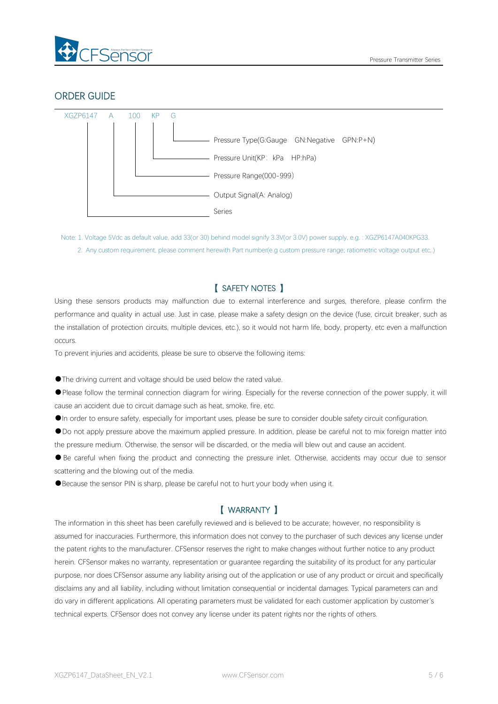

# ORDER GUIDE



Note: 1. Voltage 5Vdc as default value, add 33(or 30) behind model signify 3.3V(or 3.0V) power supply, e.g. : XGZP6147A040KPG33. 2. Any custom requirement, please comment herewith Part number(e.g custom pressure range; ratiometric voltage output etc,.)

# 【 SAFETY NOTES 】

Using these sensors products may malfunction due to external interference and surges, therefore, please confirm the performance and quality in actual use. Just in case, please make a safety design on the device (fuse, circuit breaker, such as the installation of protection circuits, multiple devices, etc.), so it would not harm life, body, property, etc even amalfunction occurs.

To prevent injuries and accidents, please be sure to observe the following items:

●The driving current and voltage should be used below the rated value.

●Please follow the terminal connection diagram for wiring. Especially for the reverse connection of the power supply, it will cause an accident due to circuit damage such as heat, smoke, fire, etc.

●In order to ensure safety, especially for important uses, please be sure to consider double safety circuit configuration.

●Do not apply pressure above the maximum applied pressure. In addition, please be careful not to mix foreign matter into the pressure medium. Otherwise, the sensor will be discarded, or the media will blew out and cause an accident.<br>• Be careful when fixing the product and connecting the pressure inlet. Otherwise, accidents may occur due to

scattering and the blowing out of the media.

●Because the sensor PIN is sharp, please be careful not to hurt your body when using it.

# 【 WARRANTY 】

The information in this sheet has been carefully reviewed and is believed to be accurate; however, no responsibility is assumed for inaccuracies. Furthermore, this information does not convey to the purchaser of such devices any license under the patent rights to the manufacturer. CFSensor reserves the right to make changes without further notice to any product herein. CFSensor makes no warranty, representation or guarantee regarding the suitability of its product for any particular purpose, nor does CFSensor assume any liability arising out of the application or use of any product or circuit and specifically disclaims any and all liability, including without limitation consequential or incidental damages. Typical parameters can and do varyin different applications. All operating parameters must be validated for each customer application by customer's technical experts. CFSensor does not convey any license under its patent rights nor the rights of others.